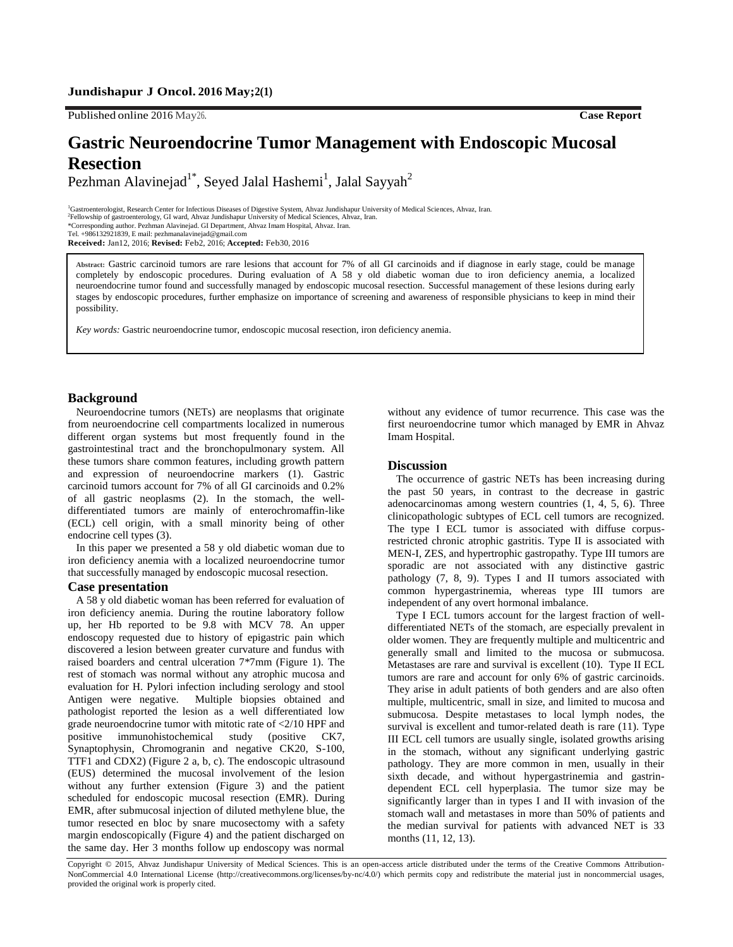# **Jundishapur J Oncol. 2016 May;2(1)**

Published online 2016 May26. **Case Report**

# **Gastric Neuroendocrine Tumor Management with Endoscopic Mucosal Resection**

Pezhman Alavinejad $^{1*}$ , Seyed Jalal Hashemi $^{1}$ , Jalal Sayyah $^{2}$ 

<sup>1</sup>Gastroenterologist, Research Center for Infectious Diseases of Digestive System, Ahvaz Jundishapur University of Medical Sciences, Ahvaz, Iran. 2 Fellowship of gastroenterology, GI ward, Ahvaz Jundishapur University of Medical Sciences, Ahvaz, Iran. \*Corresponding author. Pezhman Alavinejad. GI Department, Ahvaz Imam Hospital, Ahvaz. Iran. Tel. +986132921839, E mail: pezhmanalavinejad@gmail.com **Received:** Jan12, 2016; **Revised:** Feb2, 2016; **Accepted:** Feb30, 2016

**Abstract:** Gastric carcinoid tumors are rare lesions that account for 7% of all GI carcinoids and if diagnose in early stage, could be manage completely by endoscopic procedures. During evaluation of A 58 y old diabetic woman due to iron deficiency anemia, a localized neuroendocrine tumor found and successfully managed by endoscopic mucosal resection. Successful management of these lesions during early stages by endoscopic procedures, further emphasize on importance of screening and awareness of responsible physicians to keep in mind their possibility.

*Key words:* Gastric neuroendocrine tumor, endoscopic mucosal resection, iron deficiency anemia.

# **Background**

Neuroendocrine tumors (NETs) are neoplasms that originate from neuroendocrine cell compartments localized in numerous different organ systems but most frequently found in the gastrointestinal tract and the bronchopulmonary system. All these tumors share common features, including growth pattern and expression of neuroendocrine markers (1). Gastric carcinoid tumors account for 7% of all GI carcinoids and 0.2% of all gastric neoplasms (2). In the stomach, the welldifferentiated tumors are mainly of enterochromaffin-like (ECL) cell origin, with a small minority being of other endocrine cell types (3).

In this paper we presented a 58 y old diabetic woman due to iron deficiency anemia with a localized neuroendocrine tumor that successfully managed by endoscopic mucosal resection.

#### **Case presentation**

A 58 y old diabetic woman has been referred for evaluation of iron deficiency anemia. During the routine laboratory follow up, her Hb reported to be 9.8 with MCV 78. An upper endoscopy requested due to history of epigastric pain which discovered a lesion between greater curvature and fundus with raised boarders and central ulceration 7\*7mm (Figure 1). The rest of stomach was normal without any atrophic mucosa and evaluation for H. Pylori infection including serology and stool Antigen were negative. Multiple biopsies obtained and pathologist reported the lesion as a well differentiated low grade neuroendocrine tumor with mitotic rate of <2/10 HPF and positive immunohistochemical study (positive CK7, Synaptophysin, Chromogranin and negative CK20, S-100, TTF1 and CDX2) (Figure 2 a, b, c). The endoscopic ultrasound (EUS) determined the mucosal involvement of the lesion without any further extension (Figure 3) and the patient scheduled for endoscopic mucosal resection (EMR). During EMR, after submucosal injection of diluted methylene blue, the tumor resected en bloc by snare mucosectomy with a safety margin endoscopically (Figure 4) and the patient discharged on the same day. Her 3 months follow up endoscopy was normal without any evidence of tumor recurrence. This case was the first neuroendocrine tumor which managed by EMR in Ahvaz Imam Hospital.

#### **Discussion**

The occurrence of gastric NETs has been increasing during the past 50 years, in contrast to the decrease in gastric adenocarcinomas among western countries (1, 4, 5, 6). Three clinicopathologic subtypes of ECL cell tumors are recognized. The type I ECL tumor is associated with diffuse corpusrestricted chronic atrophic gastritis. Type II is associated with MEN-I, ZES, and hypertrophic gastropathy. Type III tumors are sporadic are not associated with any distinctive gastric pathology (7, 8, 9). Types I and II tumors associated with common hypergastrinemia, whereas type III tumors are independent of any overt hormonal imbalance.

Type I ECL tumors account for the largest fraction of welldifferentiated NETs of the stomach, are especially prevalent in older women. They are frequently multiple and multicentric and generally small and limited to the mucosa or submucosa. Metastases are rare and survival is excellent (10). Type II ECL tumors are rare and account for only 6% of gastric carcinoids. They arise in adult patients of both genders and are also often multiple, multicentric, small in size, and limited to mucosa and submucosa. Despite metastases to local lymph nodes, the survival is excellent and tumor-related death is rare (11). Type III ECL cell tumors are usually single, isolated growths arising in the stomach, without any significant underlying gastric pathology. They are more common in men, usually in their sixth decade, and without hypergastrinemia and gastrindependent ECL cell hyperplasia. The tumor size may be significantly larger than in types I and II with invasion of the stomach wall and metastases in more than 50% of patients and the median survival for patients with advanced NET is 33 months (11, 12, 13).

Copyright © 2015, Ahvaz Jundishapur University of Medical Sciences. This is an open-access article distributed under the terms of the Creative Commons Attribution-NonCommercial 4.0 International License (http://creativecommons.org/licenses/by-nc/4.0/) which permits copy and redistribute the material just in noncommercial usages, provided the original work is properly cited.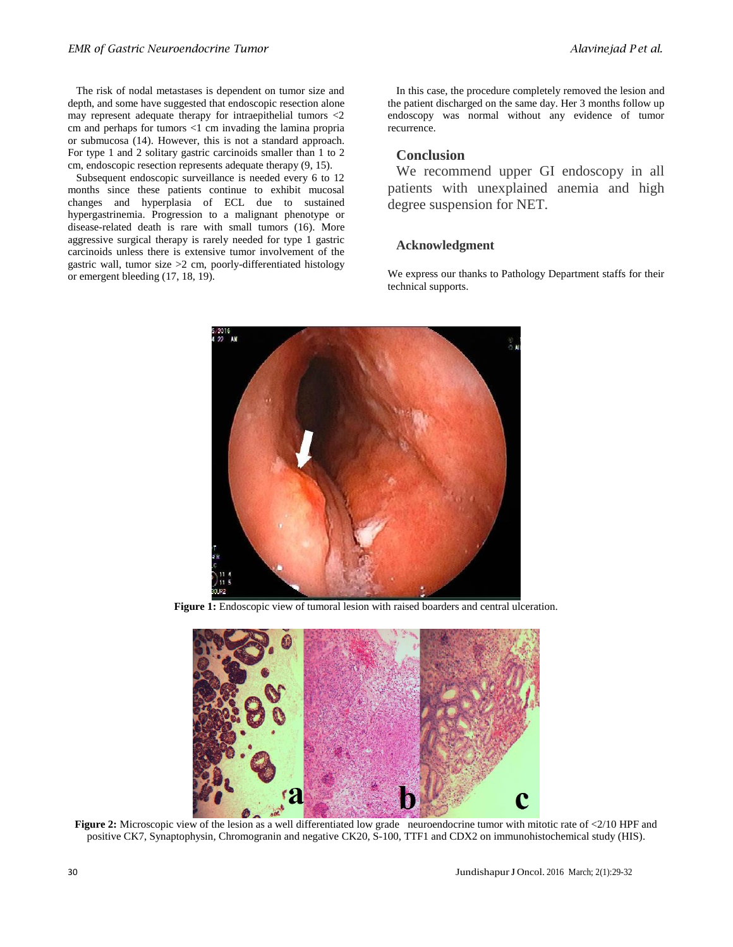The risk of nodal metastases is dependent on tumor size and depth, and some have suggested that endoscopic resection alone may represent adequate therapy for intraepithelial tumors <2 cm and perhaps for tumors <1 cm invading the lamina propria or submucosa (14). However, this is not a standard approach. For type 1 and 2 solitary gastric carcinoids smaller than 1 to 2 cm, endoscopic resection represents adequate therapy (9, 15).

Subsequent endoscopic surveillance is needed every 6 to 12 months since these patients continue to exhibit mucosal changes and hyperplasia of ECL due to sustained hypergastrinemia. Progression to a malignant phenotype or disease-related death is rare with small tumors (16). More aggressive surgical therapy is rarely needed for type 1 gastric carcinoids unless there is extensive tumor involvement of the gastric wall, tumor size >2 cm, poorly-differentiated histology or emergent bleeding (17, 18, 19).

In this case, the procedure completely removed the lesion and the patient discharged on the same day. Her 3 months follow up endoscopy was normal without any evidence of tumor recurrence.

# **Conclusion**

We recommend upper GI endoscopy in all patients with unexplained anemia and high degree suspension for NET.

# **Acknowledgment**

We express our thanks to Pathology Department staffs for their technical supports.



**Figure 1:** Endoscopic view of tumoral lesion with raised boarders and central ulceration.



**Figure 2:** Microscopic view of the lesion as a well differentiated low grade neuroendocrine tumor with mitotic rate of <2/10 HPF and positive CK7, Synaptophysin, Chromogranin and negative CK20, S-100, TTF1 and CDX2 on immunohistochemical study (HIS).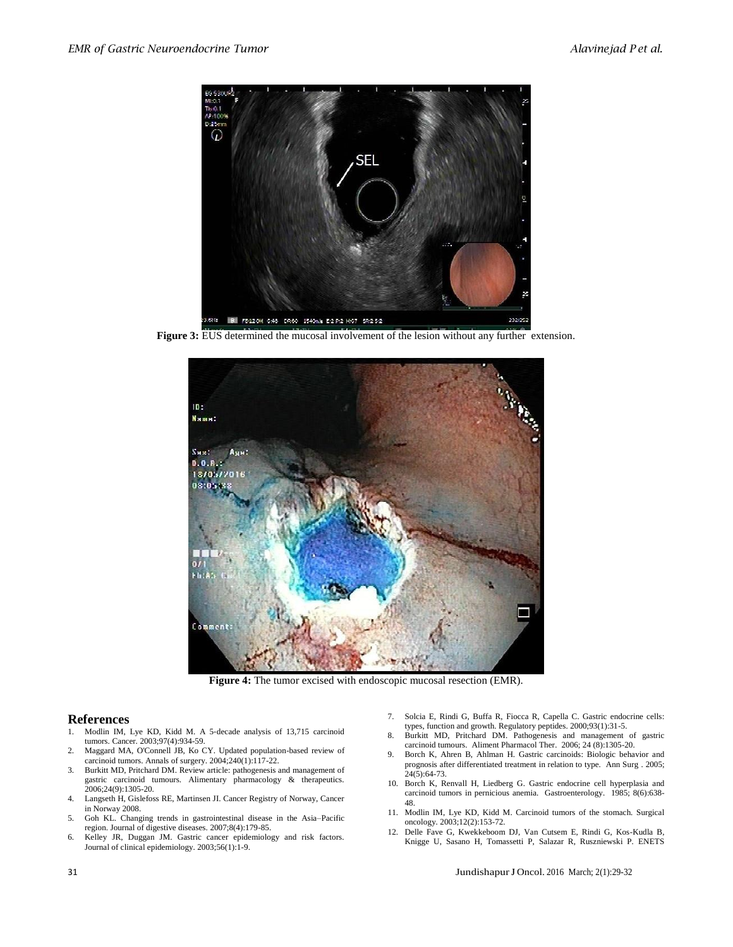

**Figure 3:** EUS determined the mucosal involvement of the lesion without any further extension.



**Figure 4:** The tumor excised with endoscopic mucosal resection (EMR).

### **References**

- 1. Modlin IM, Lye KD, Kidd M. A 5‐decade analysis of 13,715 carcinoid tumors. Cancer. 2003;97(4):934-59.
- 2. Maggard MA, O'Connell JB, Ko CY. Updated population-based review of carcinoid tumors. Annals of surgery. 2004;240(1):117-22.
- 3. Burkitt MD, Pritchard DM. Review article: pathogenesis and management of gastric carcinoid tumours. Alimentary pharmacology & therapeutics. 2006;24(9):1305-20.
- 4. Langseth H, Gislefoss RE, Martinsen JI. Cancer Registry of Norway, Cancer in Norway 2008.
- 5. Goh KL. Changing trends in gastrointestinal disease in the Asia–Pacific region. Journal of digestive diseases. 2007;8(4):179-85.
- 6. Kelley JR, Duggan JM. Gastric cancer epidemiology and risk factors. Journal of clinical epidemiology. 2003;56(1):1-9.
- 7. Solcia E, Rindi G, Buffa R, Fiocca R, Capella C. Gastric endocrine cells: types, function and growth. Regulatory peptides. 2000;93(1):31-5.
- 8. Burkitt MD, Pritchard DM. Pathogenesis and management of gastric carcinoid tumours. Aliment Pharmacol Ther. 2006; 24 (8):1305-20.
- 9. Borch K, Ahren B, Ahlman H. Gastric carcinoids: Biologic behavior and prognosis after differentiated treatment in relation to type. Ann Surg . 2005;  $24(5):64-73.$
- 10. Borch K, Renvall H, Liedberg G. Gastric endocrine cell hyperplasia and carcinoid tumors in pernicious anemia. Gastroenterology. 1985; 8(6):638- 48.
- 11. Modlin IM, Lye KD, Kidd M. Carcinoid tumors of the stomach. Surgical oncology. 2003;12(2):153-72.
- 12. Delle Fave G, Kwekkeboom DJ, Van Cutsem E, Rindi G, Kos-Kudla B, Knigge U, Sasano H, Tomassetti P, Salazar R, Ruszniewski P. ENETS